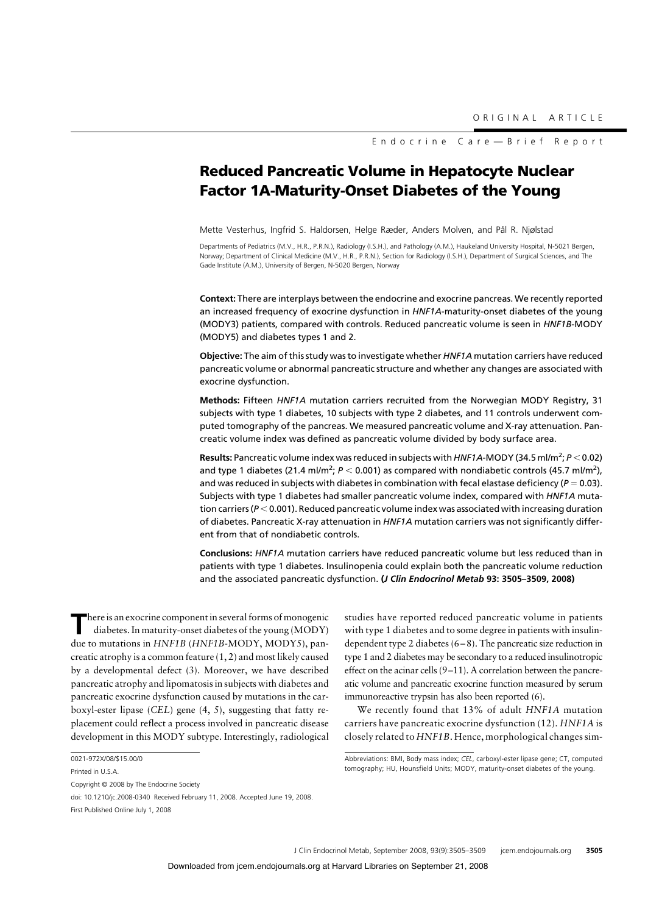Endocrine Care—Brief Report

# **Reduced Pancreatic Volume in Hepatocyte Nuclear Factor 1A-Maturity-Onset Diabetes of the Young**

Mette Vesterhus, Ingfrid S. Haldorsen, Helge Ræder, Anders Molven, and Pål R. Njølstad

Departments of Pediatrics (M.V., H.R., P.R.N.), Radiology (I.S.H.), and Pathology (A.M.), Haukeland University Hospital, N-5021 Bergen, Norway; Department of Clinical Medicine (M.V., H.R., P.R.N.), Section for Radiology (I.S.H.), Department of Surgical Sciences, and The Gade Institute (A.M.), University of Bergen, N-5020 Bergen, Norway

**Context:** There are interplays between the endocrine and exocrine pancreas. We recently reported an increased frequency of exocrine dysfunction in *HNF1A*-maturity-onset diabetes of the young (MODY3) patients, compared with controls. Reduced pancreatic volume is seen in *HNF1B*-MODY (MODY5) and diabetes types 1 and 2.

**Objective:** The aim of this study was to investigate whether *HNF1A* mutation carriers have reduced pancreatic volume or abnormal pancreatic structure and whether any changes are associated with exocrine dysfunction.

**Methods:** Fifteen *HNF1A* mutation carriers recruited from the Norwegian MODY Registry, 31 subjects with type 1 diabetes, 10 subjects with type 2 diabetes, and 11 controls underwent computed tomography of the pancreas. We measured pancreatic volume and X-ray attenuation. Pancreatic volume index was defined as pancreatic volume divided by body surface area.

Results: Pancreatic volume index was reduced in subjects with *HNF1A*-MODY (34.5 ml/m<sup>2</sup>; P < 0.02) and type 1 diabetes (21.4 ml/m<sup>2</sup>;  $P < 0.001$ ) as compared with nondiabetic controls (45.7 ml/m<sup>2</sup>), and was reduced in subjects with diabetes in combination with fecal elastase deficiency ( $P = 0.03$ ). Subjects with type 1 diabetes had smaller pancreatic volume index, compared with *HNF1A* mutation carriers (*P* < 0.001). Reduced pancreatic volume index was associated with increasing duration of diabetes. Pancreatic X-ray attenuation in *HNF1A* mutation carriers was not significantly different from that of nondiabetic controls.

**Conclusions:** *HNF1A* mutation carriers have reduced pancreatic volume but less reduced than in patients with type 1 diabetes. Insulinopenia could explain both the pancreatic volume reduction and the associated pancreatic dysfunction. **(***J Clin Endocrinol Metab* **93: 3505–3509, 2008)**

**T**here is an exocrine component in several forms of monogenic diabetes. In maturity-onset diabetes of the young (MODY) due to mutations in *HNF1B* (*HNF1B*-MODY, MODY5), pancreatic atrophy is a common feature (1, 2) and most likely caused by a developmental defect (3). Moreover, we have described pancreatic atrophy and lipomatosis in subjects with diabetes and pancreatic exocrine dysfunction caused by mutations in the carboxyl-ester lipase (*CEL*) gene (4, 5), suggesting that fatty replacement could reflect a process involved in pancreatic disease development in this MODY subtype. Interestingly, radiological

studies have reported reduced pancreatic volume in patients with type 1 diabetes and to some degree in patients with insulindependent type 2 diabetes  $(6-8)$ . The pancreatic size reduction in type 1 and 2 diabetes may be secondary to a reduced insulinotropic effect on the acinar cells (9-11). A correlation between the pancreatic volume and pancreatic exocrine function measured by serum immunoreactive trypsin has also been reported (6).

We recently found that 13% of adult *HNF1A* mutation carriers have pancreatic exocrine dysfunction (12). *HNF1A* is closely related to *HNF1B*. Hence, morphological changes sim-

<sup>0021-972</sup>X/08/\$15.00/0

Printed in U.S.A.

Copyright © 2008 by The Endocrine Society

doi: 10.1210/jc.2008-0340 Received February 11, 2008. Accepted June 19, 2008. First Published Online July 1, 2008

Abbreviations: BMI, Body mass index; *CEL*, carboxyl-ester lipase gene; CT, computed tomography; HU, Hounsfield Units; MODY, maturity-onset diabetes of the young.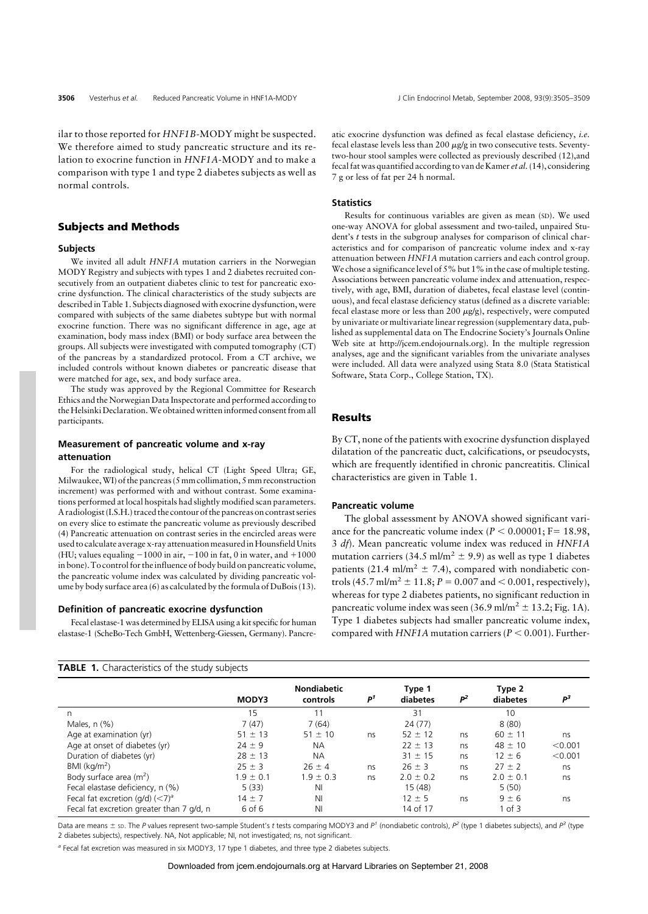ilar to those reported for *HNF1B*-MODY might be suspected. We therefore aimed to study pancreatic structure and its relation to exocrine function in *HNF1A*-MODY and to make a comparison with type 1 and type 2 diabetes subjects as well as normal controls.

## **Subjects and Methods**

#### **Subjects**

We invited all adult *HNF1A* mutation carriers in the Norwegian MODY Registry and subjects with types 1 and 2 diabetes recruited consecutively from an outpatient diabetes clinic to test for pancreatic exocrine dysfunction. The clinical characteristics of the study subjects are described in Table 1. Subjects diagnosed with exocrine dysfunction, were compared with subjects of the same diabetes subtype but with normal exocrine function. There was no significant difference in age, age at examination, body mass index (BMI) or body surface area between the groups. All subjects were investigated with computed tomography (CT) of the pancreas by a standardized protocol. From a CT archive, we included controls without known diabetes or pancreatic disease that were matched for age, sex, and body surface area.

The study was approved by the Regional Committee for Research Ethics and the Norwegian Data Inspectorate and performed according to the Helsinki Declaration.We obtained written informed consent from all participants.

# **Measurement of pancreatic volume and x-ray**

## **attenuation**

For the radiological study, helical CT (Light Speed Ultra; GE, Milwaukee,WI) of the pancreas (5 mm collimation, 5 mm reconstruction increment) was performed with and without contrast. Some examinations performed at local hospitals had slightly modified scan parameters. A radiologist (I.S.H.) traced the contour of the pancreas on contrast series on every slice to estimate the pancreatic volume as previously described (4) Pancreatic attenuation on contrast series in the encircled areas were used to calculate average x-ray attenuation measured in Hounsfield Units (HU; values equaling  $-1000$  in air,  $-100$  in fat, 0 in water, and  $+1000$ in bone). To control for the influence of body build on pancreatic volume, the pancreatic volume index was calculated by dividing pancreatic volume by body surface area (6) as calculated by the formula of DuBois (13).

### **Definition of pancreatic exocrine dysfunction**

**TABLE 1.** Characteristics of the study subjects

Fecal elastase-1 was determined by ELISA using a kit specific for human elastase-1 (ScheBo-Tech GmbH, Wettenberg-Giessen, Germany). Pancreatic exocrine dysfunction was defined as fecal elastase deficiency, *i.e.* fecal elastase levels less than  $200 \mu g/g$  in two consecutive tests. Seventytwo-hour stool samples were collected as previously described (12),and fecal fat was quantified according to van de Kamer *et al.*(14), considering 7 g or less of fat per 24 h normal.

## **Statistics**

Results for continuous variables are given as mean (SD). We used one-way ANOVA for global assessment and two-tailed, unpaired Student's *t* tests in the subgroup analyses for comparison of clinical characteristics and for comparison of pancreatic volume index and x-ray attenuation between *HNF1A* mutation carriers and each control group. We chose a significance level of 5% but 1% in the case of multiple testing. Associations between pancreatic volume index and attenuation, respectively, with age, BMI, duration of diabetes, fecal elastase level (continuous), and fecal elastase deficiency status (defined as a discrete variable: fecal elastase more or less than 200  $\mu$ g/g), respectively, were computed by univariate or multivariate linear regression (supplementary data, published as supplemental data on The Endocrine Society's Journals Online Web site at http://jcem.endojournals.org). In the multiple regression analyses, age and the significant variables from the univariate analyses were included. All data were analyzed using Stata 8.0 (Stata Statistical Software, Stata Corp., College Station, TX).

# **Results**

By CT, none of the patients with exocrine dysfunction displayed dilatation of the pancreatic duct, calcifications, or pseudocysts, which are frequently identified in chronic pancreatitis. Clinical characteristics are given in Table 1.

#### **Pancreatic volume**

The global assessment by ANOVA showed significant variance for the pancreatic volume index  $(P < 0.00001; F = 18.98,$ 3 *df*). Mean pancreatic volume index was reduced in *HNF1A* mutation carriers (34.5 ml/m<sup>2</sup>  $\pm$  9.9) as well as type 1 diabetes patients (21.4 ml/m<sup>2</sup>  $\pm$  7.4), compared with nondiabetic controls  $(45.7 \text{ ml/m}^2 \pm 11.8; P = 0.007 \text{ and } 0.001$ , respectively), whereas for type 2 diabetes patients, no significant reduction in pancreatic volume index was seen  $(36.9 \text{ ml/m}^2 \pm 13.2; \text{Fig. 1A}).$ Type 1 diabetes subjects had smaller pancreatic volume index, compared with *HNF1A* mutation carriers ( $P < 0.001$ ). Further-

|                                                       | <b>MODY3</b>  | <b>Nondiabetic</b><br>controls | P <sup>1</sup> | Type 1<br>diabetes | P <sup>2</sup> | Type 2<br>diabetes | p <sup>3</sup> |
|-------------------------------------------------------|---------------|--------------------------------|----------------|--------------------|----------------|--------------------|----------------|
| n                                                     | 15            | 11                             |                | 31                 |                | 10                 |                |
| Males, $n$ $(\%)$                                     | 7(47)         | 7(64)                          |                | 24(77)             |                | 8(80)              |                |
| Age at examination (yr)                               | $51 \pm 13$   | $51 \pm 10$                    | ns             | $52 \pm 12$        | ns             | $60 \pm 11$        | ns             |
| Age at onset of diabetes (yr)                         | $74 \pm 9$    | <b>NA</b>                      |                | $22 \pm 13$        | ns             | $48 \pm 10$        | < 0.001        |
| Duration of diabetes (yr)                             | $28 \pm 13$   | <b>NA</b>                      |                | $31 \pm 15$        | ns             | $12 \pm 6$         | < 0.001        |
| $BMI$ (kg/m <sup>2</sup> )                            | $25 \pm 3$    | $76 \pm 4$                     | ns             | $26 \pm 3$         | ns             | $27 \pm 2$         | ns             |
| Body surface area $(m2)$                              | $1.9 \pm 0.1$ | $1.9 \pm 0.3$                  | ns             | $2.0 \pm 0.2$      | ns             | $2.0 \pm 0.1$      | ns             |
| Fecal elastase deficiency, n (%)                      | 5(33)         | ΝI                             |                | 15 (48)            |                | 5(50)              |                |
| Fecal fat excretion ( $q/d$ ) ( $\langle 7 \rangle^a$ | $14 + 7$      | NI                             |                | $12 \pm 5$         | ns             | $9 \pm 6$          | ns             |
| Fecal fat excretion greater than 7 g/d, n             | 6 of 6        | NI                             |                | 14 of 17           |                | $1$ of $3$         |                |

Data are means ± sp. The *P* values represent two-sample Student's *t* tests comparing MODY3 and  $P<sup>1</sup>$  (nondiabetic controls),  $P<sup>2</sup>$  (type 1 diabetes subjects), and  $P<sup>3</sup>$  (type 2 diabetes subjects), respectively. NA, Not applicable; NI, not investigated; ns, not significant.

*<sup>a</sup>* Fecal fat excretion was measured in six MODY3, 17 type 1 diabetes, and three type 2 diabetes subjects.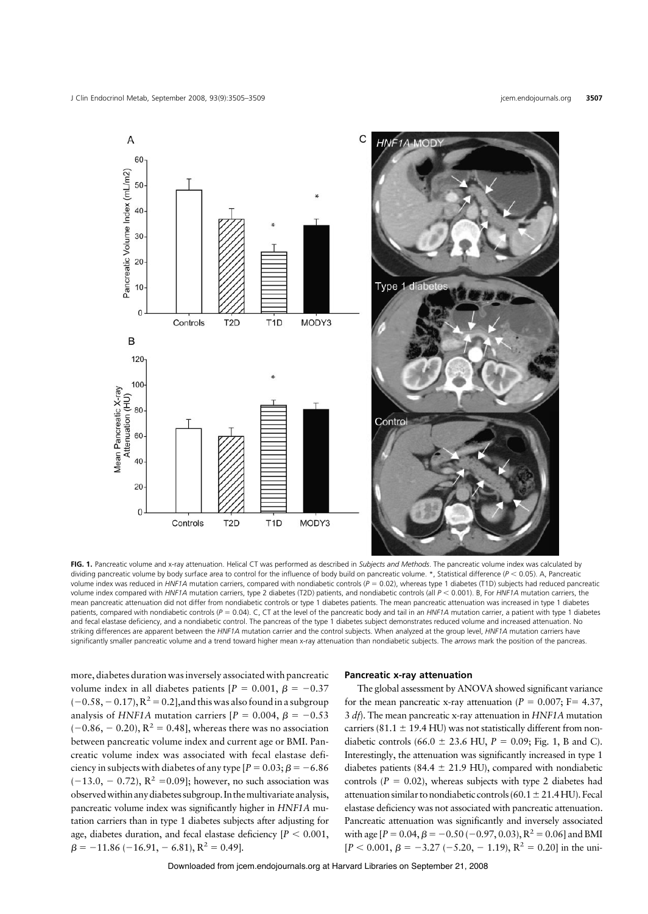

**FIG. 1.** Pancreatic volume and x-ray attenuation. Helical CT was performed as described in *Subjects and Methods*. The pancreatic volume index was calculated by dividing pancreatic volume by body surface area to control for the influence of body build on pancreatic volume. \*, Statistical difference (*P* < 0.05). A, Pancreatic volume index was reduced in *HNF1A* mutation carriers, compared with nondiabetic controls ( $P = 0.02$ ), whereas type 1 diabetes (T1D) subjects had reduced pancreatic volume index compared with *HNF1A* mutation carriers, type 2 diabetes (T2D) patients, and nondiabetic controls (all  $P < 0.001$ ). B, For *HNF1A* mutation carriers, the mean pancreatic attenuation did not differ from nondiabetic controls or type 1 diabetes patients. The mean pancreatic attenuation was increased in type 1 diabetes patients, compared with nondiabetic controls ( $P = 0.04$ ). C, CT at the level of the pancreatic body and tail in an *HNF1A* mutation carrier, a patient with type 1 diabetes and fecal elastase deficiency, and a nondiabetic control. The pancreas of the type 1 diabetes subject demonstrates reduced volume and increased attenuation. No striking differences are apparent between the *HNF1A* mutation carrier and the control subjects. When analyzed at the group level, *HNF1A* mutation carriers have significantly smaller pancreatic volume and a trend toward higher mean x-ray attenuation than nondiabetic subjects. The *arrows* mark the position of the pancreas.

more, diabetes duration was inversely associated with pancreatic volume index in all diabetes patients  $[P = 0.001, \beta = -0.37]$  $(-0.58, -0.17), R<sup>2</sup> = 0.2$ ],and this was also found in a subgroup analysis of *HNF1A* mutation carriers  $[P = 0.004, \beta = -0.53$  $(-0.86, -0.20), R^2 = 0.48$ , whereas there was no association between pancreatic volume index and current age or BMI. Pancreatic volume index was associated with fecal elastase deficiency in subjects with diabetes of any type  $[P = 0.03; B = -6.86]$  $(-13.0, -0.72), R^2 = 0.09$ ; however, no such association was observedwithin anydiabetes subgroup. In themultivariate analysis, pancreatic volume index was significantly higher in *HNF1A* mutation carriers than in type 1 diabetes subjects after adjusting for age, diabetes duration, and fecal elastase deficiency  $[P < 0.001,$  $\beta = -11.86$  (-16.91, -6.81),  $R^2 = 0.49$ ].

### **Pancreatic x-ray attenuation**

The global assessment by ANOVA showed significant variance for the mean pancreatic x-ray attenuation ( $P = 0.007$ ;  $F = 4.37$ , 3 *df*). The mean pancreatic x-ray attenuation in *HNF1A* mutation carriers (81.1  $\pm$  19.4 HU) was not statistically different from nondiabetic controls (66.0  $\pm$  23.6 HU,  $P = 0.09$ ; Fig. 1, B and C). Interestingly, the attenuation was significantly increased in type 1 diabetes patients (84.4  $\pm$  21.9 HU), compared with nondiabetic controls  $(P = 0.02)$ , whereas subjects with type 2 diabetes had attenuation similar to nondiabetic controls (60.1  $\pm$  21.4 HU). Fecal elastase deficiency was not associated with pancreatic attenuation. Pancreatic attenuation was significantly and inversely associated with age  $[P = 0.04, \beta = -0.50 (-0.97, 0.03), R^2 = 0.06]$  and BMI  $[P < 0.001, \beta = -3.27 (-5.20, -1.19), R^2 = 0.20]$  in the uni-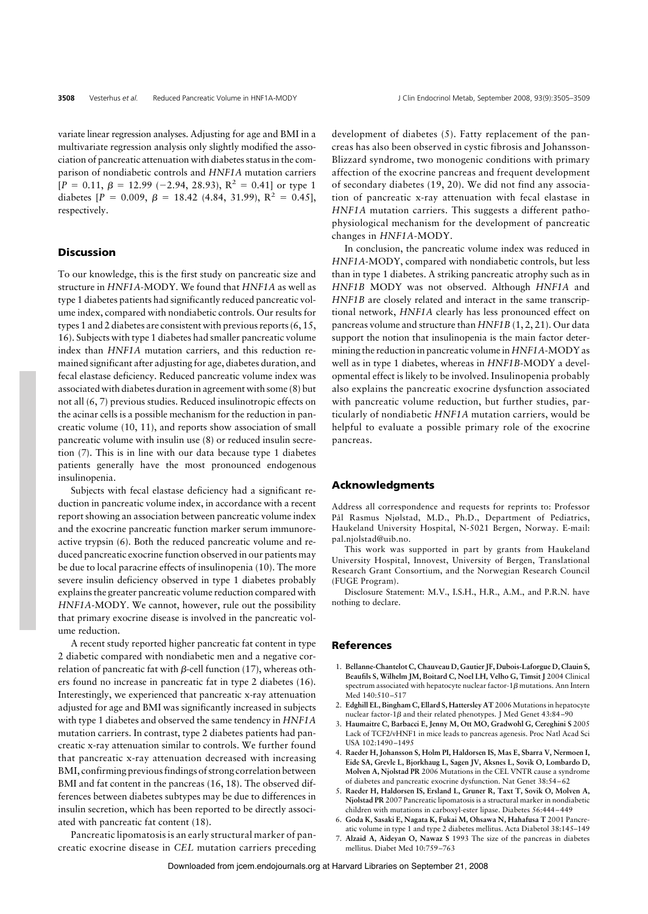variate linear regression analyses. Adjusting for age and BMI in a multivariate regression analysis only slightly modified the association of pancreatic attenuation with diabetes status in the comparison of nondiabetic controls and *HNF1A* mutation carriers  $[P = 0.11, \beta = 12.99 (-2.94, 28.93), R^2 = 0.41]$  or type 1 diabetes  $[P = 0.009, \beta = 18.42 \ (4.84, 31.99), R^2 = 0.45]$ , respectively.

## **Discussion**

To our knowledge, this is the first study on pancreatic size and structure in *HNF1A*-MODY. We found that *HNF1A* as well as type 1 diabetes patients had significantly reduced pancreatic volume index, compared with nondiabetic controls. Our results for types 1 and 2 diabetes are consistent with previous reports (6, 15, 16). Subjects with type 1 diabetes had smaller pancreatic volume index than *HNF1A* mutation carriers, and this reduction remained significant after adjusting for age, diabetes duration, and fecal elastase deficiency. Reduced pancreatic volume index was associated with diabetes duration in agreement with some (8) but not all (6, 7) previous studies. Reduced insulinotropic effects on the acinar cells is a possible mechanism for the reduction in pancreatic volume (10, 11), and reports show association of small pancreatic volume with insulin use (8) or reduced insulin secretion (7). This is in line with our data because type 1 diabetes patients generally have the most pronounced endogenous insulinopenia.

Subjects with fecal elastase deficiency had a significant reduction in pancreatic volume index, in accordance with a recent report showing an association between pancreatic volume index and the exocrine pancreatic function marker serum immunoreactive trypsin (6). Both the reduced pancreatic volume and reduced pancreatic exocrine function observed in our patients may be due to local paracrine effects of insulinopenia (10). The more severe insulin deficiency observed in type 1 diabetes probably explains the greater pancreatic volume reduction compared with *HNF1A-*MODY. We cannot, however, rule out the possibility that primary exocrine disease is involved in the pancreatic volume reduction.

A recent study reported higher pancreatic fat content in type 2 diabetic compared with nondiabetic men and a negative correlation of pancreatic fat with  $\beta$ -cell function (17), whereas others found no increase in pancreatic fat in type 2 diabetes (16). Interestingly, we experienced that pancreatic x-ray attenuation adjusted for age and BMI was significantly increased in subjects with type 1 diabetes and observed the same tendency in *HNF1A* mutation carriers. In contrast, type 2 diabetes patients had pancreatic x-ray attenuation similar to controls. We further found that pancreatic x-ray attenuation decreased with increasing BMI, confirming previous findings of strong correlation between BMI and fat content in the pancreas (16, 18). The observed differences between diabetes subtypes may be due to differences in insulin secretion, which has been reported to be directly associated with pancreatic fat content (18).

Pancreatic lipomatosis is an early structural marker of pancreatic exocrine disease in *CEL* mutation carriers preceding

development of diabetes (5). Fatty replacement of the pancreas has also been observed in cystic fibrosis and Johansson-Blizzard syndrome, two monogenic conditions with primary affection of the exocrine pancreas and frequent development of secondary diabetes (19, 20). We did not find any association of pancreatic x-ray attenuation with fecal elastase in *HNF1A* mutation carriers. This suggests a different pathophysiological mechanism for the development of pancreatic changes in *HNF1A*-MODY.

In conclusion, the pancreatic volume index was reduced in *HNF1A*-MODY, compared with nondiabetic controls, but less than in type 1 diabetes. A striking pancreatic atrophy such as in *HNF1B* MODY was not observed. Although *HNF1A* and *HNF1B* are closely related and interact in the same transcriptional network, *HNF1A* clearly has less pronounced effect on pancreas volume and structure than *HNF1B* (1, 2, 21). Our data support the notion that insulinopenia is the main factor determining the reduction in pancreatic volume in *HNF1A*-MODY as well as in type 1 diabetes, whereas in *HNF1B-*MODY a developmental effect is likely to be involved. Insulinopenia probably also explains the pancreatic exocrine dysfunction associated with pancreatic volume reduction, but further studies, particularly of nondiabetic *HNF1A* mutation carriers, would be helpful to evaluate a possible primary role of the exocrine pancreas.

# **Acknowledgments**

Address all correspondence and requests for reprints to: Professor Pål Rasmus Njølstad, M.D., Ph.D., Department of Pediatrics, Haukeland University Hospital, N-5021 Bergen, Norway. E-mail: pal.njolstad@uib.no.

This work was supported in part by grants from Haukeland University Hospital, Innovest, University of Bergen, Translational Research Grant Consortium, and the Norwegian Research Council (FUGE Program).

Disclosure Statement: M.V., I.S.H., H.R., A.M., and P.R.N. have nothing to declare.

## **References**

- 1. **Bellanne-Chantelot C, Chauveau D, Gautier JF, Dubois-Laforgue D, Clauin S, Beaufils S, Wilhelm JM, Boitard C, Noel LH, Velho G, Timsit J** 2004 Clinical spectrum associated with hepatocyte nuclear factor- $1\beta$  mutations. Ann Intern Med 140:510-517
- 2. **Edghill EL, Bingham C, Ellard S, Hattersley AT** 2006 Mutations in hepatocyte nuclear factor-1 $\beta$  and their related phenotypes. J Med Genet 43:84-90
- 3. **Haumaitre C, Barbacci E, Jenny M, Ott MO, Gradwohl G, Cereghini S** 2005 Lack of TCF2/vHNF1 in mice leads to pancreas agenesis. Proc Natl Acad Sci USA 102:1490 –1495
- 4. **Raeder H, Johansson S, Holm PI, Haldorsen IS, Mas E, Sbarra V, Nermoen I, Eide SA, Grevle L, Bjorkhaug L, Sagen JV, Aksnes L, Sovik O, Lombardo D, Molven A, Njolstad PR** 2006 Mutations in the CEL VNTR cause a syndrome of diabetes and pancreatic exocrine dysfunction. Nat Genet 38:54 – 62
- 5. **Raeder H, Haldorsen IS, Ersland L, Gruner R, Taxt T, Sovik O, Molven A, Njolstad PR** 2007 Pancreatic lipomatosis is a structural marker in nondiabetic children with mutations in carboxyl-ester lipase. Diabetes 56:444 – 449
- 6. **Goda K, Sasaki E, Nagata K, Fukai M, Ohsawa N, Hahafusa T** 2001 Pancreatic volume in type 1 and type 2 diabetes mellitus. Acta Diabetol 38:145–149
- 7. **Alzaid A, Aideyan O, Nawaz S** 1993 The size of the pancreas in diabetes mellitus. Diabet Med 10:759 –763